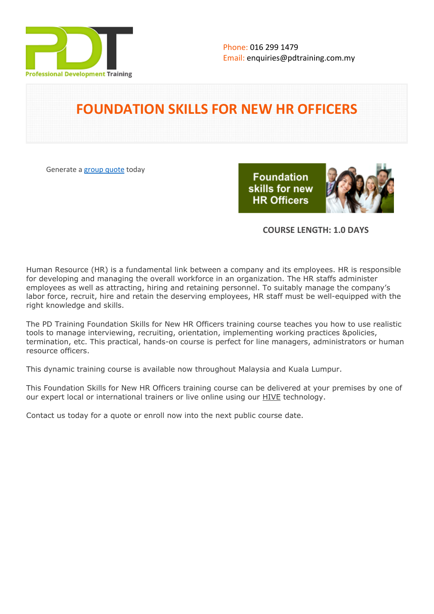

## **FOUNDATION SKILLS FOR NEW HR OFFICERS**

Generate a [group quote](https://pdtraining.com.my/inhouse-training-quote?cse=PDT035) today

**Foundation** skills for new **HR Officers** 



#### **COURSE LENGTH: 1.0 DAYS**

Human Resource (HR) is a fundamental link between a company and its employees. HR is responsible for developing and managing the overall workforce in an organization. The HR staffs administer employees as well as attracting, hiring and retaining personnel. To suitably manage the company's labor force, recruit, hire and retain the deserving employees, HR staff must be well-equipped with the right knowledge and skills.

The PD Training Foundation Skills for New HR Officers training course teaches you how to use realistic tools to manage interviewing, recruiting, orientation, implementing working practices &policies, termination, etc. This practical, hands-on course is perfect for line managers, administrators or human resource officers.

This dynamic training course is available now throughout Malaysia and Kuala Lumpur.

This Foundation Skills for New HR Officers training course can be delivered at your premises by one of our expert local or international trainers or live online using our HIVE technology.

Contact us today for a quote or enroll now into the next public course date.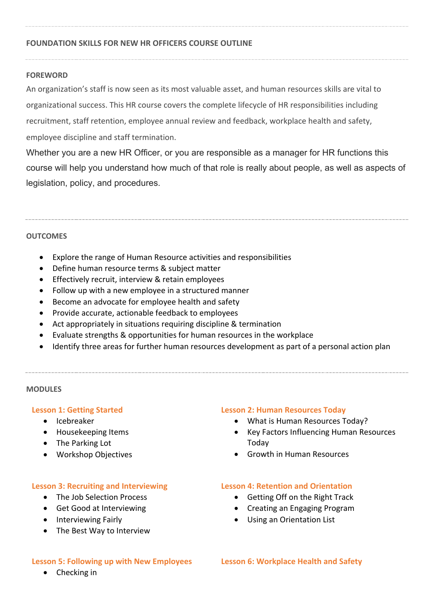#### **FOUNDATION SKILLS FOR NEW HR OFFICERS COURSE OUTLINE**

#### **FOREWORD**

An organization's staff is now seen as its most valuable asset, and human resources skills are vital to organizational success. This HR course covers the complete lifecycle of HR responsibilities including recruitment, staff retention, employee annual review and feedback, workplace health and safety, employee discipline and staff termination.

Whether you are a new HR Officer, or you are responsible as a manager for HR functions this course will help you understand how much of that role is really about people, as well as aspects of legislation, policy, and procedures.

#### **OUTCOMES**

- Explore the range of Human Resource activities and responsibilities
- Define human resource terms & subject matter
- **•** Effectively recruit, interview & retain employees
- Follow up with a new employee in a structured manner
- Become an advocate for employee health and safety
- Provide accurate, actionable feedback to employees
- Act appropriately in situations requiring discipline & termination
- Evaluate strengths & opportunities for human resources in the workplace
- Identify three areas for further human resources development as part of a personal action plan

#### **MODULES**

#### **Lesson 1: Getting Started**

- Icebreaker
- Housekeeping Items
- The Parking Lot
- Workshop Objectives

#### **Lesson 3: Recruiting and Interviewing**

- The Job Selection Process
- Get Good at Interviewing
- Interviewing Fairly
- The Best Way to Interview

#### **Lesson 5: Following up with New Employees**

- **Lesson 2: Human Resources Today**
	- What is Human Resources Today?
	- Key Factors Influencing Human Resources Today
	- Growth in Human Resources

#### **Lesson 4: Retention and Orientation**

- Getting Off on the Right Track
- Creating an Engaging Program
- Using an Orientation List

**Lesson 6: Workplace Health and Safety**

• Checking in